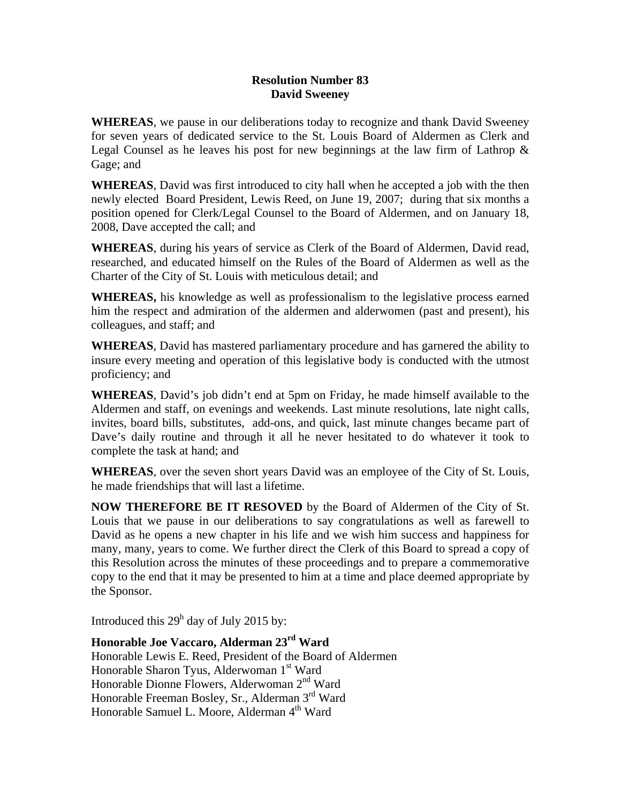## **Resolution Number 83 David Sweeney**

**WHEREAS**, we pause in our deliberations today to recognize and thank David Sweeney for seven years of dedicated service to the St. Louis Board of Aldermen as Clerk and Legal Counsel as he leaves his post for new beginnings at the law firm of Lathrop & Gage; and

**WHEREAS**, David was first introduced to city hall when he accepted a job with the then newly elected Board President, Lewis Reed, on June 19, 2007; during that six months a position opened for Clerk/Legal Counsel to the Board of Aldermen, and on January 18, 2008, Dave accepted the call; and

**WHEREAS**, during his years of service as Clerk of the Board of Aldermen, David read, researched, and educated himself on the Rules of the Board of Aldermen as well as the Charter of the City of St. Louis with meticulous detail; and

**WHEREAS,** his knowledge as well as professionalism to the legislative process earned him the respect and admiration of the aldermen and alderwomen (past and present), his colleagues, and staff; and

**WHEREAS**, David has mastered parliamentary procedure and has garnered the ability to insure every meeting and operation of this legislative body is conducted with the utmost proficiency; and

**WHEREAS**, David's job didn't end at 5pm on Friday, he made himself available to the Aldermen and staff, on evenings and weekends. Last minute resolutions, late night calls, invites, board bills, substitutes, add-ons, and quick, last minute changes became part of Dave's daily routine and through it all he never hesitated to do whatever it took to complete the task at hand; and

**WHEREAS**, over the seven short years David was an employee of the City of St. Louis, he made friendships that will last a lifetime.

**NOW THEREFORE BE IT RESOVED** by the Board of Aldermen of the City of St. Louis that we pause in our deliberations to say congratulations as well as farewell to David as he opens a new chapter in his life and we wish him success and happiness for many, many, years to come. We further direct the Clerk of this Board to spread a copy of this Resolution across the minutes of these proceedings and to prepare a commemorative copy to the end that it may be presented to him at a time and place deemed appropriate by the Sponsor.

Introduced this  $29<sup>h</sup>$  day of July 2015 by:

## **Honorable Joe Vaccaro, Alderman 23rd Ward**  Honorable Lewis E. Reed, President of the Board of Aldermen Honorable Sharon Tyus, Alderwoman 1st Ward Honorable Dionne Flowers, Alderwoman 2<sup>nd</sup> Ward Honorable Freeman Bosley, Sr., Alderman 3<sup>rd</sup> Ward Honorable Samuel L. Moore, Alderman 4<sup>th</sup> Ward